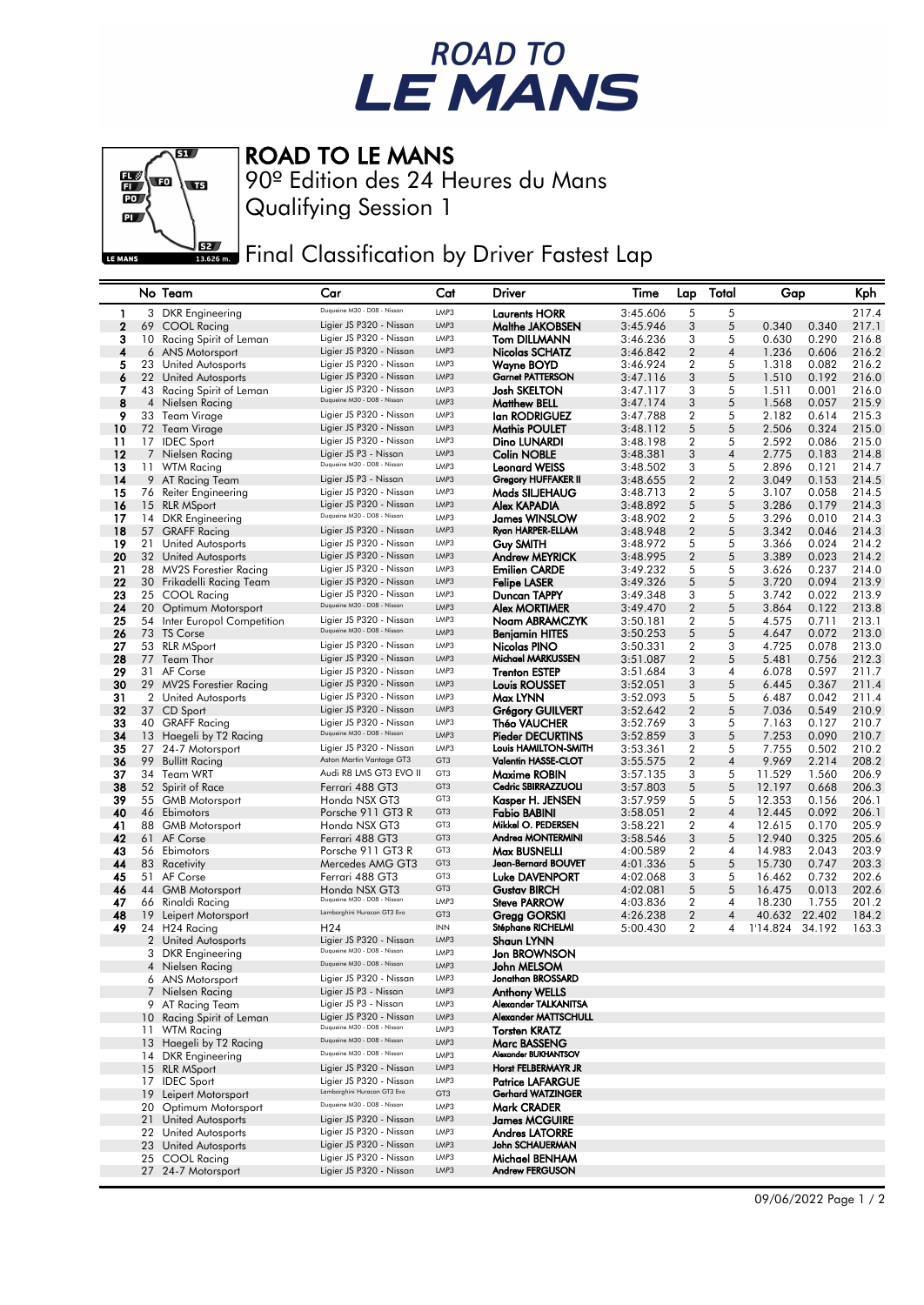## ROAD TO<br>LE MANS



## ROAD TO LE MANS

Qualifying Session 1 90º Edition des 24 Heures du Mans

Final Classification by Driver Fastest Lap

|              |    | No Team                                      | Car                                                        | Cat             | Driver                                              | Time     | Lap              | Total          | Gap             |        | Kph   |
|--------------|----|----------------------------------------------|------------------------------------------------------------|-----------------|-----------------------------------------------------|----------|------------------|----------------|-----------------|--------|-------|
| 1            |    | 3 DKR Engineering                            | Duqueine M30 - D08 - Nissan                                | LMP3            | <b>Laurents HORR</b>                                | 3:45.606 | 5                | 5              |                 |        | 217.4 |
| $\mathbf{2}$ | 69 | COOL Racing                                  | Ligier JS P320 - Nissan                                    | LMP3            | Malthe JAKOBSEN                                     | 3:45.946 | 3                | 5              | 0.340           | 0.340  | 217.1 |
| з            | 10 | Racing Spirit of Leman                       | Ligier JS P320 - Nissan                                    | LMP3            | Tom DILLMANN                                        | 3:46.236 | 3                | 5              | 0.630           | 0.290  | 216.8 |
| 4            |    | 6 ANS Motorsport                             | Ligier JS P320 - Nissan                                    | LMP3            | Nicolas SCHATZ                                      | 3:46.842 | 2                | 4              | 1.236           | 0.606  | 216.2 |
| 5            |    | 23 United Autosports                         | Ligier JS P320 - Nissan                                    | LMP3            | Wayne BOYD                                          | 3:46.924 | $\overline{2}$   | 5              | 1.318           | 0.082  | 216.2 |
| 6            |    | 22 United Autosports                         | Ligier JS P320 - Nissan                                    | LMP3            | <b>Garnet PATTERSON</b>                             | 3:47.116 | 3                | 5              | 1.510           | 0.192  | 216.0 |
| 7            |    | 43 Racing Spirit of Leman                    | Ligier JS P320 - Nissan                                    | LMP3            | <b>Josh SKELTON</b>                                 | 3:47.117 | 3                | 5              | 1.511           | 0.001  | 216.0 |
| 8            | 4  | Nielsen Racing                               | Duqueine M30 - D08 - Nissan                                | LMP3            | Matthew BELL                                        | 3:47.174 | 3                | 5              | 1.568           | 0.057  | 215.9 |
| 9            |    | 33 Team Virage                               | Ligier JS P320 - Nissan                                    | LMP3            | lan RODRIGUEZ                                       | 3:47.788 | $\overline{2}$   | 5              | 2.182           | 0.614  | 215.3 |
| 10           |    | 72 Team Virage                               | Ligier JS P320 - Nissan                                    | LMP3            | Mathis POULET                                       | 3:48.112 | 5                | 5              | 2.506           | 0.324  | 215.0 |
| 11           |    | 17 IDEC Sport                                | Ligier JS P320 - Nissan                                    | LMP3            | Dino LUNARDI                                        | 3:48.198 | $\overline{2}$   | 5              | 2.592           | 0.086  | 215.0 |
| 12           |    | 7 Nielsen Racing                             | Ligier JS P3 - Nissan                                      | LMP3            | <b>Colin NOBLE</b>                                  | 3:48.381 | 3                | $\overline{4}$ | 2.775           | 0.183  | 214.8 |
| 13           |    | 11 WTM Racing                                | Duqueine M30 - D08 - Nissan                                | LMP3            | <b>Leonard WEISS</b>                                | 3:48.502 | 3                | 5              | 2.896           | 0.121  | 214.7 |
| 14           |    | 9 AT Racing Team                             | Ligier JS P3 - Nissan                                      | LMP3            | Gregory HUFFAKER II                                 | 3:48.655 | 2                | 2              | 3.049           | 0.153  | 214.5 |
| 15           |    | 76 Reiter Engineering                        | Ligier JS P320 - Nissan                                    | LMP3            | Mads SILJEHAUG                                      | 3:48.713 | $\overline{2}$   | 5              | 3.107           | 0.058  | 214.5 |
| 16           |    | 15 RLR MSport                                | Ligier JS P320 - Nissan                                    | LMP3            | Alex KAPADIA                                        | 3:48.892 | 5                | 5              | 3.286           | 0.179  | 214.3 |
| 17           |    | 14 DKR Engineering                           | Duqueine M30 - D08 - Nissan                                | LMP3            | <b>James WINSLOW</b>                                | 3:48.902 | $\overline{2}$   | 5              | 3.296           | 0.010  | 214.3 |
| 18           |    | 57 GRAFF Racing                              | Ligier JS P320 - Nissan                                    | LMP3            | Ryan HARPER-ELLAM                                   | 3:48.948 | $\overline{2}$   | 5              | 3.342           | 0.046  | 214.3 |
| 19           |    | 21 United Autosports                         | Ligier JS P320 - Nissan                                    | LMP3            | Guy SMITH                                           | 3:48.972 | 5                | 5              | 3.366           | 0.024  | 214.2 |
| 20           |    | 32 United Autosports                         | Ligier JS P320 - Nissan                                    | LMP3            | <b>Andrew MEYRICK</b>                               | 3:48.995 | $\boldsymbol{2}$ | 5              | 3.389           | 0.023  | 214.2 |
| 21           |    | 28 MV2S Forestier Racing                     | Ligier JS P320 - Nissan                                    | LMP3            | <b>Emilien CARDE</b>                                | 3:49.232 | 5                | 5              | 3.626           | 0.237  | 214.0 |
| 22           |    | 30 Frikadelli Racing Team                    | Ligier JS P320 - Nissan                                    | LMP3            | <b>Felipe LASER</b>                                 | 3:49.326 | 5                | 5              | 3.720           | 0.094  | 213.9 |
| 23           |    | 25 COOL Racing                               | Ligier JS P320 - Nissan                                    | LMP3            | Duncan TAPPY                                        | 3:49.348 | 3                | 5              | 3.742           | 0.022  | 213.9 |
| 24           |    | 20 Optimum Motorsport                        | Duqueine M30 - D08 - Nissan                                | LMP3            | Alex MORTIMER                                       | 3:49.470 | $\overline{2}$   | 5              | 3.864           | 0.122  | 213.8 |
| 25           |    | 54 Inter Europol Competition                 | Ligier JS P320 - Nissan                                    | LMP3            | Noam ABRAMCZYK                                      | 3:50.181 | 2                | 5              | 4.575           | 0.711  | 213.1 |
| 26           |    | 73 TS Corse                                  | Duqueine M30 - D08 - Nissan                                | LMP3            | <b>Benjamin HITES</b>                               | 3:50.253 | 5                | 5              | 4.647           | 0.072  | 213.0 |
| 27           |    | 53 RLR MSport                                | Ligier JS P320 - Nissan                                    | LMP3            | Nicolas PINO                                        | 3:50.331 | $\overline{2}$   | 3              | 4.725           | 0.078  | 213.0 |
| 28           |    | 77 Team Thor                                 | Ligier JS P320 - Nissan                                    | LMP3            | Michael MARKUSSEN                                   | 3:51.087 | $\overline{2}$   | 5              | 5.481           | 0.756  | 212.3 |
| 29           |    | 31 AF Corse                                  | Ligier JS P320 - Nissan                                    | LMP3            | <b>Trenton ESTEP</b>                                | 3:51.684 | 3                | 4              | 6.078           | 0.597  | 211.7 |
| 30           |    | 29 MV2S Forestier Racing                     | Ligier JS P320 - Nissan                                    | LMP3            | Louis ROUSSET                                       | 3:52.051 | 3                | 5              | 6.445           | 0.367  | 211.4 |
| 31           |    | 2 United Autosports                          | Ligier JS P320 - Nissan                                    | LMP3            | Max LYNN                                            | 3:52.093 | 5                | 5              | 6.487           | 0.042  | 211.4 |
| 32           |    | 37 CD Sport                                  | Ligier JS P320 - Nissan                                    | LMP3            | <b>Grégory GUILVERT</b>                             | 3:52.642 | $\overline{2}$   | 5              | 7.036           | 0.549  | 210.9 |
| 33           |    | 40 GRAFF Racing                              | Ligier JS P320 - Nissan                                    | LMP3            | Théo VAUCHER                                        | 3:52.769 | 3                | 5              | 7.163           | 0.127  | 210.7 |
| 34           |    | 13 Haegeli by T2 Racing                      | Duqueine M30 - D08 - Nissan                                | LMP3            | <b>Pieder DECURTINS</b>                             | 3:52.859 | 3                | 5              | 7.253           | 0.090  | 210.7 |
| 35           |    | 27 24-7 Motorsport                           | Ligier JS P320 - Nissan                                    | LMP3            | Louis HAMILTON-SMITH                                | 3:53.361 | $\overline{2}$   | 5              | 7.755           | 0.502  | 210.2 |
| 36           | 99 | <b>Bullitt Racing</b>                        | Aston Martin Vantage GT3                                   | GT <sub>3</sub> | Valentin HASSE-CLOT                                 | 3:55.575 | $\boldsymbol{2}$ | $\overline{4}$ | 9.969           | 2.214  | 208.2 |
| 37           |    | 34 Team WRT                                  | Audi R8 LMS GT3 EVO II                                     | GT3             | Maxime ROBIN                                        | 3:57.135 | 3                | 5              | 11.529          | 1.560  | 206.9 |
| 38           |    | 52 Spirit of Race                            | Ferrari 488 GT3                                            | GT <sub>3</sub> | Cedric SBIRRAZZUOLI                                 | 3:57.803 | 5                | 5              | 12.197          | 0.668  | 206.3 |
| 39           |    | 55 GMB Motorsport                            | Honda NSX GT3                                              | GT3             | Kasper H. JENSEN                                    | 3:57.959 | 5                | 5              | 12.353          | 0.156  | 206.1 |
| 40           |    | 46 Ebimotors                                 | Porsche 911 GT3 R                                          | GT <sub>3</sub> | Fabio BABINI                                        | 3:58.051 | 2                | 4              | 12.445          | 0.092  | 206.1 |
| 41           |    | 88 GMB Motorsport                            | Honda NSX GT3                                              | GT3             | Mikkel O. PEDERSEN                                  | 3:58.221 | 2                | 4              | 12.615          | 0.170  | 205.9 |
| 42           |    | 61 AF Corse                                  | Ferrari 488 GT3                                            | GT <sub>3</sub> | Andrea MONTERMINI                                   | 3:58.546 | 3                | 5              | 12.940          | 0.325  | 205.6 |
| 43           |    | 56 Ebimotors                                 | Porsche 911 GT3 R                                          | GT3             | <b>Max BUSNELLI</b>                                 | 4:00.589 | 2                | 4              | 14.983          | 2.043  | 203.9 |
| 44           |    | 83 Racetivity                                | Mercedes AMG GT3                                           | GT <sub>3</sub> | Jean-Bernard BOUVET                                 | 4:01.336 | 5                | 5              | 15.730          | 0.747  | 203.3 |
| 45           |    | 51 AF Corse                                  | Ferrari 488 GT3                                            | GT3             | <b>Luke DAVENPORT</b>                               | 4:02.068 | 3                | 5              | 16.462          | 0.732  | 202.6 |
| 46           |    | 44 GMB Motorsport                            | Honda NSX GT3                                              | GT <sub>3</sub> | <b>Gustav BIRCH</b>                                 | 4:02.081 | 5                | 5              | 16.475          | 0.013  | 202.6 |
| 47           |    | 66 Rinaldi Racing                            | Duqueine M30 - D08 - Nissan<br>Lamborghini Huracan GT3 Evo | LMP3            | <b>Steve PARROW</b>                                 | 4:03.836 | 2                | 4              | 18.230          | 1.755  | 201.2 |
| 48           |    | 19 Leipert Motorsport                        |                                                            | GT <sub>3</sub> | Gregg GORSKI                                        | 4:26.238 | $\overline{2}$   | 4              | 40.632          | 22.402 | 184.2 |
| 49           |    | 24 H24 Racing                                | H <sub>24</sub>                                            | <b>INN</b>      | Stéphane RICHELMI                                   | 5:00.430 | 2                | 4              | 1'14.824 34.192 |        | 163.3 |
|              |    | 2 United Autosports                          | Ligier JS P320 - Nissan<br>Duqueine M30 - D08 - Nissan     | LMP3            | Shaun LYNN                                          |          |                  |                |                 |        |       |
|              |    | 3 DKR Engineering                            | Duqueine M30 - D08 - Nissan                                | LMP3            | Jon BROWNSON                                        |          |                  |                |                 |        |       |
|              |    | 4 Nielsen Racing                             |                                                            | LMP3            | John MELSOM                                         |          |                  |                |                 |        |       |
|              |    | 6 ANS Motorsport                             | Ligier JS P320 - Nissan                                    | LMP3            | Jonathan BROSSARD                                   |          |                  |                |                 |        |       |
|              |    | 7 Nielsen Racing                             | Ligier JS P3 - Nissan                                      | LMP3            | <b>Anthony WELLS</b>                                |          |                  |                |                 |        |       |
|              |    | 9 AT Racing Team                             | Ligier JS P3 - Nissan<br>Ligier JS P320 - Nissan           | LMP3            | Alexander TALKANITSA                                |          |                  |                |                 |        |       |
|              |    | 10 Racing Spirit of Leman                    | Duqueine M30 - D08 - Nissan                                | LMP3            | Alexander MATTSCHULL                                |          |                  |                |                 |        |       |
|              |    | 11 WTM Racing                                | Duqueine M30 - D08 - Nissan                                | LMP3            | <b>Torsten KRATZ</b>                                |          |                  |                |                 |        |       |
|              |    | 13 Haegeli by T2 Racing                      | Duqueine M30 - D08 - Nissan                                | LMP3<br>LMP3    | Marc BASSENG<br>Alexander BUKHANTSOV                |          |                  |                |                 |        |       |
|              |    | 14 DKR Engineering                           |                                                            |                 |                                                     |          |                  |                |                 |        |       |
|              |    | 15 RLR MSport                                | Ligier JS P320 - Nissan                                    | LMP3            | Horst FELBERMAYR JR                                 |          |                  |                |                 |        |       |
|              |    | 17 IDEC Sport                                | Ligier JS P320 - Nissan<br>Lamborghini Huracan GT3 Evo     | LMP3            | <b>Patrice LAFARGUE</b><br><b>Gerhard WATZINGER</b> |          |                  |                |                 |        |       |
|              |    | 19 Leipert Motorsport                        | Duqueine M30 - D08 - Nissan                                | GT3             |                                                     |          |                  |                |                 |        |       |
|              |    | 20 Optimum Motorsport                        | Ligier JS P320 - Nissan                                    | LMP3            | Mark CRADER                                         |          |                  |                |                 |        |       |
|              |    | 21 United Autosports                         | Ligier JS P320 - Nissan                                    | LMP3<br>LMP3    | <b>James MCGUIRE</b>                                |          |                  |                |                 |        |       |
|              |    | 22 United Autosports<br>23 United Autosports | Ligier JS P320 - Nissan                                    | LMP3            | <b>Andres LATORRE</b><br>John SCHAUERMAN            |          |                  |                |                 |        |       |
|              |    |                                              | Ligier JS P320 - Nissan                                    | LMP3            |                                                     |          |                  |                |                 |        |       |
|              |    | 25 COOL Racing<br>27 24-7 Motorsport         | Ligier JS P320 - Nissan                                    | LMP3            | Michael BENHAM<br><b>Andrew FERGUSON</b>            |          |                  |                |                 |        |       |
|              |    |                                              |                                                            |                 |                                                     |          |                  |                |                 |        |       |